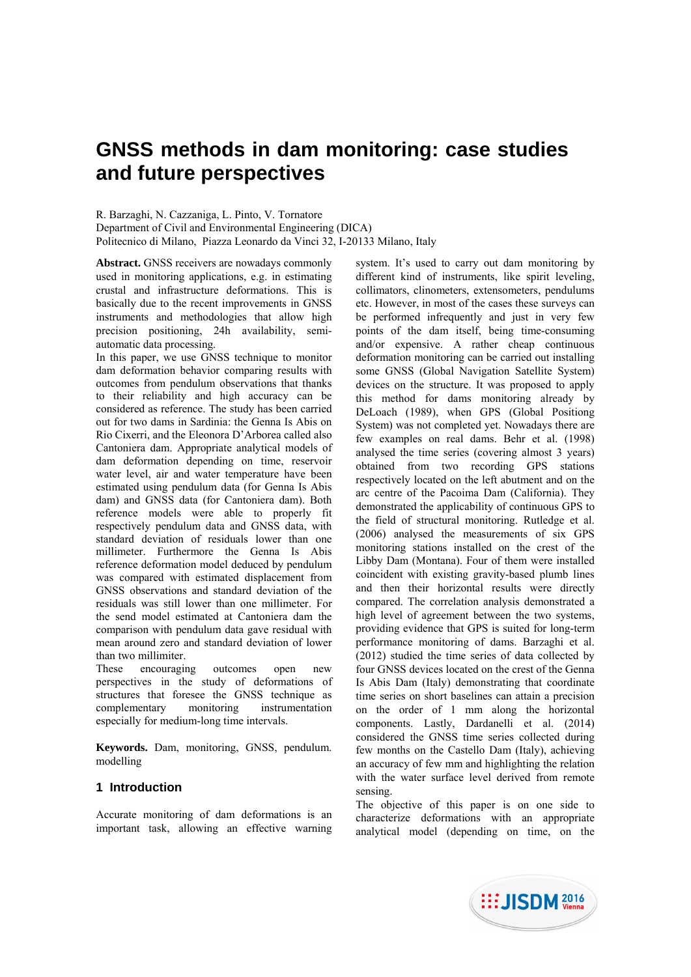# **GNSS methods in dam monitoring: case studies and future perspectives**

R. Barzaghi, N. Cazzaniga, L. Pinto, V. Tornatore Department of Civil and Environmental Engineering (DICA) Politecnico di Milano, Piazza Leonardo da Vinci 32, I-20133 Milano, Italy

**Abstract.** GNSS receivers are nowadays commonly used in monitoring applications, e.g. in estimating crustal and infrastructure deformations. This is basically due to the recent improvements in GNSS instruments and methodologies that allow high precision positioning, 24h availability, semiautomatic data processing.

In this paper, we use GNSS technique to monitor dam deformation behavior comparing results with outcomes from pendulum observations that thanks to their reliability and high accuracy can be considered as reference. The study has been carried out for two dams in Sardinia: the Genna Is Abis on Rio Cixerri, and the Eleonora D'Arborea called also Cantoniera dam. Appropriate analytical models of dam deformation depending on time, reservoir water level, air and water temperature have been estimated using pendulum data (for Genna Is Abis dam) and GNSS data (for Cantoniera dam). Both reference models were able to properly fit respectively pendulum data and GNSS data, with standard deviation of residuals lower than one millimeter. Furthermore the Genna Is Abis reference deformation model deduced by pendulum was compared with estimated displacement from GNSS observations and standard deviation of the residuals was still lower than one millimeter. For the send model estimated at Cantoniera dam the comparison with pendulum data gave residual with mean around zero and standard deviation of lower than two millimiter.

These encouraging outcomes open new perspectives in the study of deformations of structures that foresee the GNSS technique as complementary monitoring instrumentation especially for medium-long time intervals.

**Keywords.** Dam, monitoring, GNSS, pendulum. modelling

# **1 Introduction**

Accurate monitoring of dam deformations is an important task, allowing an effective warning system. It's used to carry out dam monitoring by different kind of instruments, like spirit leveling, collimators, clinometers, extensometers, pendulums etc. However, in most of the cases these surveys can be performed infrequently and just in very few points of the dam itself, being time-consuming and/or expensive. A rather cheap continuous deformation monitoring can be carried out installing some GNSS (Global Navigation Satellite System) devices on the structure. It was proposed to apply this method for dams monitoring already by DeLoach (1989), when GPS (Global Positiong System) was not completed yet. Nowadays there are few examples on real dams. Behr et al. (1998) analysed the time series (covering almost 3 years) obtained from two recording GPS stations respectively located on the left abutment and on the arc centre of the Pacoima Dam (California). They demonstrated the applicability of continuous GPS to the field of structural monitoring. Rutledge et al. (2006) analysed the measurements of six GPS monitoring stations installed on the crest of the Libby Dam (Montana). Four of them were installed coincident with existing gravity-based plumb lines and then their horizontal results were directly compared. The correlation analysis demonstrated a high level of agreement between the two systems, providing evidence that GPS is suited for long-term performance monitoring of dams. Barzaghi et al. (2012) studied the time series of data collected by four GNSS devices located on the crest of the Genna Is Abis Dam (Italy) demonstrating that coordinate time series on short baselines can attain a precision on the order of 1 mm along the horizontal components. Lastly, Dardanelli et al. (2014) considered the GNSS time series collected during few months on the Castello Dam (Italy), achieving an accuracy of few mm and highlighting the relation with the water surface level derived from remote sensing.

The objective of this paper is on one side to characterize deformations with an appropriate analytical model (depending on time, on the

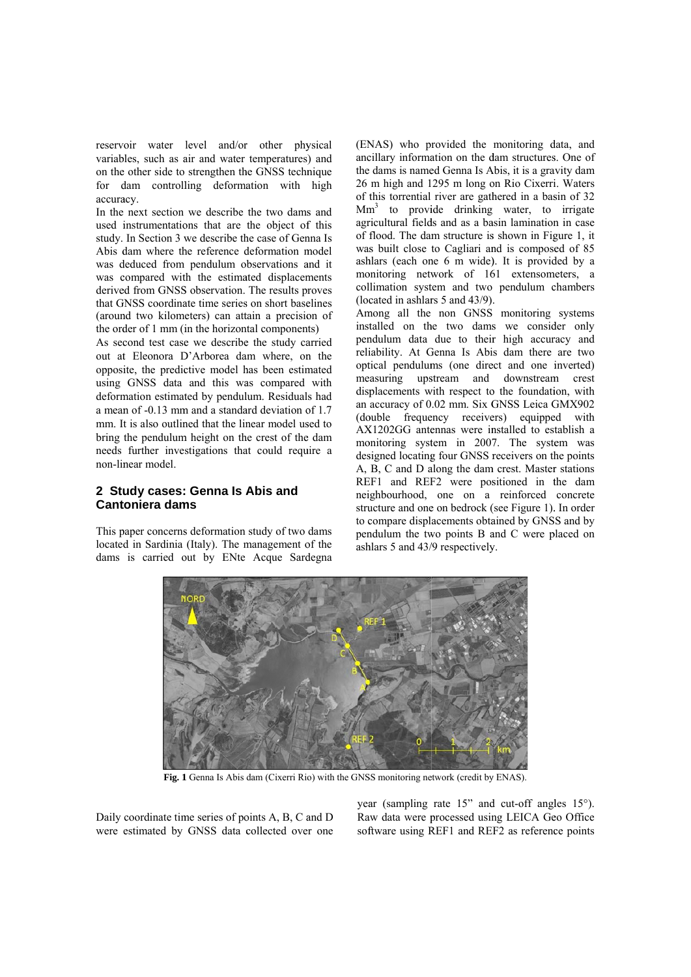reservoir water level and/or other physical variables, such as air and water temperatures) and on the other side to strengthen the GNSS technique for dam controlling deformation with high accuracy

In the next section we describe the two dams and used instrumentations that are the object of this study. In Section 3 we describe the case of Genna Is Abis dam where the reference deformation model was deduced from pendulum observations and it was compared with the estimated displacements derived from GNSS observation. The results proves that GNSS coordinate time series on short baselines (around two kilometers) can attain a precision of the order of 1 mm (in the horizontal components)

As second test case we describe the study carried out at Eleonora D'Arborea dam where, on the opposite, the predictive model has been estimated using GNSS data and this was compared with deformation estimated by pendulum. Residuals had a mean of -0.13 mm and a standard deviation of 1.7 mm. It is also outlined that the linear model used to bring the pendulum height on the crest of the dam needs further investigations that could require a non-linear model.

## 2 Study cases: Genna Is Abis and **Cantoniera dams**

This paper concerns deformation study of two dams located in Sardinia (Italy). The management of the dams is carried out by ENte Acque Sardegna (ENAS) who provided the monitoring data, and ancillary information on the dam structures. One of the dams is named Genna Is Abis, it is a gravity dam 26 m high and 1295 m long on Rio Cixerri. Waters of this torrential river are gathered in a basin of 32  $Mm<sup>3</sup>$  to provide drinking water, to irrigate agricultural fields and as a basin lamination in case of flood. The dam structure is shown in Figure 1, it was built close to Cagliari and is composed of 85 ashlars (each one 6 m wide). It is provided by a monitoring network of 161 extensometers, a collimation system and two pendulum chambers (located in ashlars  $5$  and  $43/9$ ).

Among all the non GNSS monitoring systems installed on the two dams we consider only pendulum data due to their high accuracy and reliability. At Genna Is Abis dam there are two optical pendulums (one direct and one inverted) measuring upstream and downstream crest displacements with respect to the foundation, with an accuracy of 0.02 mm. Six GNSS Leica GMX902 (double frequency receivers) equipped with AX1202GG antennas were installed to establish a monitoring system in 2007. The system was designed locating four GNSS receivers on the points A. B. C and D along the dam crest. Master stations REF1 and REF2 were positioned in the dam neighbourhood, one on a reinforced concrete structure and one on bedrock (see Figure 1). In order to compare displacements obtained by GNSS and by pendulum the two points B and C were placed on ashlars 5 and 43/9 respectively.



Fig. 1 Genna Is Abis dam (Cixerri Rio) with the GNSS monitoring network (credit by ENAS).

Daily coordinate time series of points A, B, C and D were estimated by GNSS data collected over one year (sampling rate 15" and cut-off angles 15°). Raw data were processed using LEICA Geo Office software using REF1 and REF2 as reference points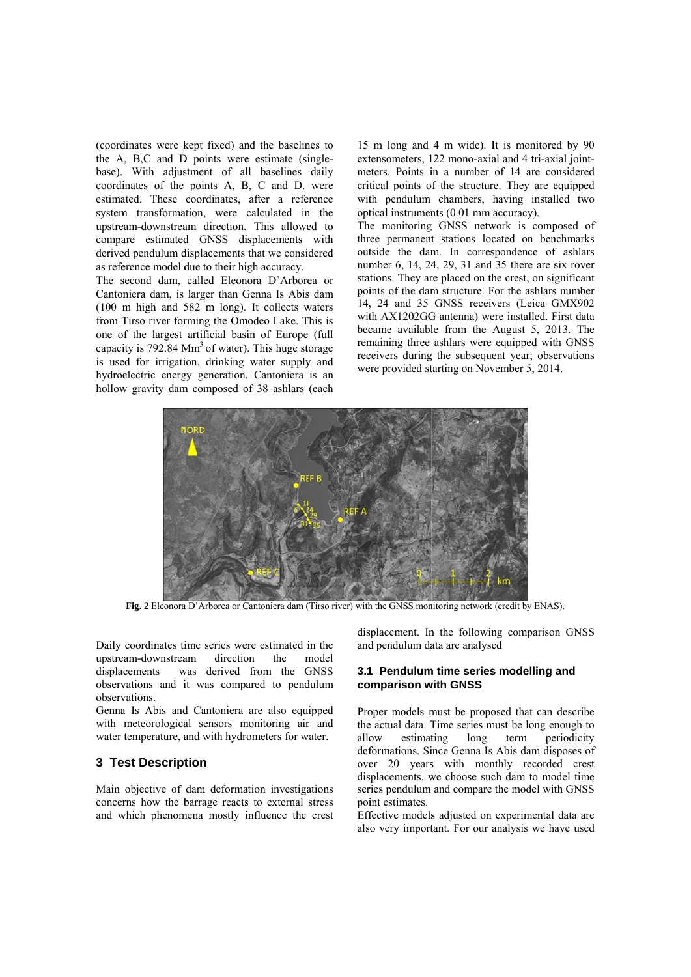(coordinates were kept fixed) and the baselines to the A, B,C and D points were estimate (singlebase). With adjustment of all baselines daily coordinates of the points A, B, C and D, were estimated. These coordinates, after a reference system transformation, were calculated in the upstream-downstream direction. This allowed to compare estimated GNSS displacements with derived pendulum displacements that we considered as reference model due to their high accuracy.

The second dam, called Eleonora D'Arborea or Cantoniera dam, is larger than Genna Is Abis dam  $(100 \text{ m high and } 582 \text{ m long})$ . It collects waters from Tirso river forming the Omodeo Lake. This is one of the largest artificial basin of Europe (full capacity is  $792.84 \text{ Mm}^3$  of water). This huge storage is used for irrigation, drinking water supply and hydroelectric energy generation. Cantoniera is an hollow gravity dam composed of 38 ashlars (each 15 m long and 4 m wide). It is monitored by 90 extensometers, 122 mono-axial and 4 tri-axial jointmeters. Points in a number of 14 are considered critical points of the structure. They are equipped with pendulum chambers, having installed two optical instruments (0.01 mm accuracy).

The monitoring GNSS network is composed of three permanent stations located on benchmarks outside the dam. In correspondence of ashlars number 6, 14, 24, 29, 31 and 35 there are six rover stations. They are placed on the crest, on significant points of the dam structure. For the ashlars number 14. 24 and 35 GNSS receivers (Leica GMX902 with AX1202GG antenna) were installed. First data became available from the August 5, 2013. The remaining three ashlars were equipped with GNSS receivers during the subsequent year; observations were provided starting on November 5, 2014.



Fig. 2 Eleonora D'Arborea or Cantoniera dam (Tirso river) with the GNSS monitoring network (credit by ENAS).

Daily coordinates time series were estimated in the unstream-downstream direction the  $model$ was derived from the GNSS displacements observations and it was compared to pendulum observations.

Genna Is Abis and Cantoniera are also equipped with meteorological sensors monitoring air and water temperature, and with hydrometers for water.

### **3 Test Description**

Main objective of dam deformation investigations concerns how the barrage reacts to external stress and which phenomena mostly influence the crest displacement. In the following comparison GNSS and pendulum data are analysed

#### 3.1 Pendulum time series modelling and comparison with GNSS

Proper models must be proposed that can describe the actual data. Time series must be long enough to periodicity allow estimating long term deformations. Since Genna Is Abis dam disposes of over 20 years with monthly recorded crest displacements, we choose such dam to model time series pendulum and compare the model with GNSS point estimates.

Effective models adjusted on experimental data are also very important. For our analysis we have used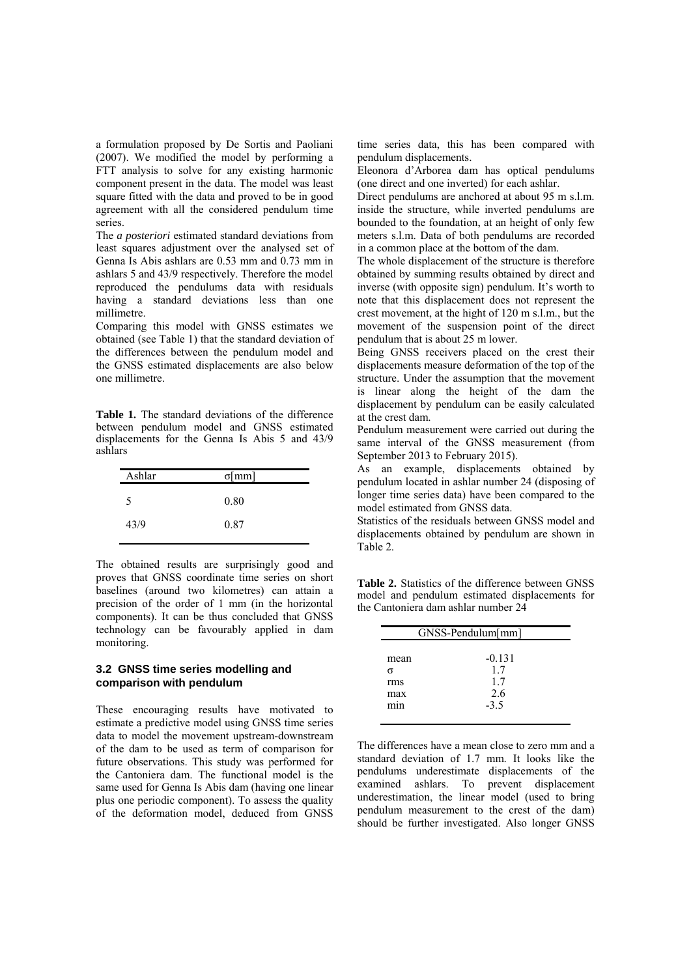a formulation proposed by De Sortis and Paoliani (2007). We modified the model by performing a FTT analysis to solve for any existing harmonic component present in the data. The model was least square fitted with the data and proved to be in good agreement with all the considered pendulum time series.

The *a posteriori* estimated standard deviations from least squares adjustment over the analysed set of Genna Is Abis ashlars are 0.53 mm and 0.73 mm in ashlars 5 and 43/9 respectively. Therefore the model reproduced the pendulums data with residuals having a standard deviations less than one millimetre.

Comparing this model with GNSS estimates we obtained (see Table 1) that the standard deviation of the differences between the pendulum model and the GNSS estimated displacements are also below one millimetre.

**Table 1.** The standard deviations of the difference between pendulum model and GNSS estimated displacements for the Genna Is Abis 5 and 43/9 ashlars

| Ashlar | $\sigma$ [mm] |  |
|--------|---------------|--|
| 5      | 0.80          |  |
| 43/9   | 0.87          |  |
|        |               |  |

The obtained results are surprisingly good and proves that GNSS coordinate time series on short baselines (around two kilometres) can attain a precision of the order of 1 mm (in the horizontal components). It can be thus concluded that GNSS technology can be favourably applied in dam monitoring.

## **3.2 GNSS time series modelling and comparison with pendulum**

These encouraging results have motivated to estimate a predictive model using GNSS time series data to model the movement upstream-downstream of the dam to be used as term of comparison for future observations. This study was performed for the Cantoniera dam. The functional model is the same used for Genna Is Abis dam (having one linear plus one periodic component). To assess the quality of the deformation model, deduced from GNSS

time series data, this has been compared with pendulum displacements.

Eleonora d'Arborea dam has optical pendulums (one direct and one inverted) for each ashlar.

Direct pendulums are anchored at about 95 m s.l.m. inside the structure, while inverted pendulums are bounded to the foundation, at an height of only few meters s.l.m. Data of both pendulums are recorded in a common place at the bottom of the dam.

The whole displacement of the structure is therefore obtained by summing results obtained by direct and inverse (with opposite sign) pendulum. It's worth to note that this displacement does not represent the crest movement, at the hight of 120 m s.l.m., but the movement of the suspension point of the direct pendulum that is about 25 m lower.

Being GNSS receivers placed on the crest their displacements measure deformation of the top of the structure. Under the assumption that the movement is linear along the height of the dam the displacement by pendulum can be easily calculated at the crest dam.

Pendulum measurement were carried out during the same interval of the GNSS measurement (from September 2013 to February 2015).

As an example, displacements obtained by pendulum located in ashlar number 24 (disposing of longer time series data) have been compared to the model estimated from GNSS data.

Statistics of the residuals between GNSS model and displacements obtained by pendulum are shown in Table 2.

**Table 2.** Statistics of the difference between GNSS model and pendulum estimated displacements for the Cantoniera dam ashlar number 24

|                         | GNSS-Pendulum[mm]            |
|-------------------------|------------------------------|
| mean<br>σ<br>rms<br>max | $-0.131$<br>1.7<br>17<br>2.6 |
| mın                     | $-3.5$                       |

The differences have a mean close to zero mm and a standard deviation of 1.7 mm. It looks like the pendulums underestimate displacements of the examined ashlars. To prevent displacement underestimation, the linear model (used to bring pendulum measurement to the crest of the dam) should be further investigated. Also longer GNSS